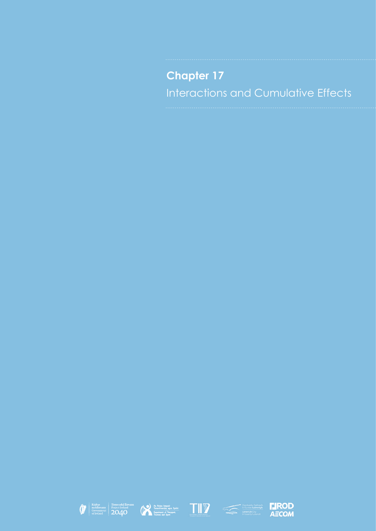# **Chapter 17** Interactions and Cumulative Effects









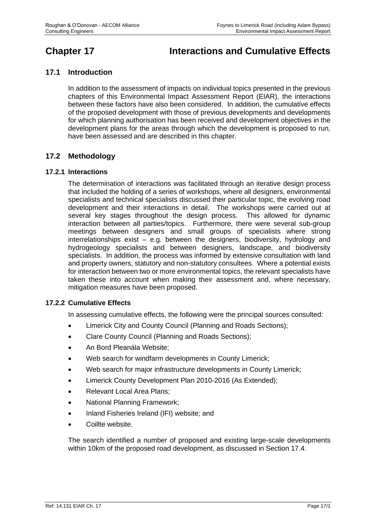# **Chapter 17 Interactions and Cumulative Effects**

# **17.1 Introduction**

In addition to the assessment of impacts on individual topics presented in the previous chapters of this Environmental Impact Assessment Report (EIAR), the interactions between these factors have also been considered. In addition, the cumulative effects of the proposed development with those of previous developments and developments for which planning authorisation has been received and development objectives in the development plans for the areas through which the development is proposed to run, have been assessed and are described in this chapter.

# **17.2 Methodology**

# **17.2.1 Interactions**

The determination of interactions was facilitated through an iterative design process that included the holding of a series of workshops, where all designers, environmental specialists and technical specialists discussed their particular topic, the evolving road development and their interactions in detail. The workshops were carried out at several key stages throughout the design process. This allowed for dynamic interaction between all parties/topics. Furthermore, there were several sub-group meetings between designers and small groups of specialists where strong interrelationships exist – e.g. between the designers, biodiversity, hydrology and hydrogeology specialists and between designers, landscape, and biodiversity specialists. In addition, the process was informed by extensive consultation with land and property owners, statutory and non-statutory consultees. Where a potential exists for interaction between two or more environmental topics, the relevant specialists have taken these into account when making their assessment and, where necessary, mitigation measures have been proposed.

# **17.2.2 Cumulative Effects**

In assessing cumulative effects, the following were the principal sources consulted:

- Limerick City and County Council (Planning and Roads Sections);
- Clare County Council (Planning and Roads Sections);
- An Bord Pleanála Website;
- Web search for windfarm developments in County Limerick;
- Web search for major infrastructure developments in County Limerick;
- Limerick County Development Plan 2010-2016 (As Extended);
- Relevant Local Area Plans;
- National Planning Framework;
- Inland Fisheries Ireland (IFI) website; and
- Coillte website.

The search identified a number of proposed and existing large-scale developments within 10km of the proposed road development, as discussed in Section 17.4.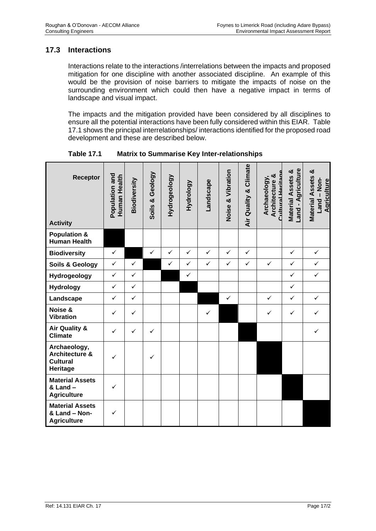# **17.3 Interactions**

Interactions relate to the interactions /interrelations between the impacts and proposed mitigation for one discipline with another associated discipline. An example of this would be the provision of noise barriers to mitigate the impacts of noise on the surrounding environment which could then have a negative impact in terms of landscape and visual impact.

The impacts and the mitigation provided have been considered by all disciplines to ensure all the potential interactions have been fully considered within this EIAR. Table 17.1 shows the principal interrelationships/ interactions identified for the proposed road development and these are described below.

| Receptor<br><b>Activity</b>                                              | Population and<br>Human Health | Biodiversity | Soils & Geology | Hydrogeology | Hydrology    | Landscape    | Noise & Vibration | Air Quality & Climate | Archaeology,<br>Architecture &<br><b>Cultural Horitan</b> | Land - Agriculture<br><b>Material Assets &amp;</b> | Material Assets &<br>Land - Non-<br><b>Agriculture</b> |
|--------------------------------------------------------------------------|--------------------------------|--------------|-----------------|--------------|--------------|--------------|-------------------|-----------------------|-----------------------------------------------------------|----------------------------------------------------|--------------------------------------------------------|
| <b>Population &amp;</b><br><b>Human Health</b>                           |                                |              |                 |              |              |              |                   |                       |                                                           |                                                    |                                                        |
| <b>Biodiversity</b>                                                      | $\checkmark$                   |              | $\checkmark$    | $\checkmark$ | $\checkmark$ | $\checkmark$ | $\checkmark$      | $\checkmark$          |                                                           | $\checkmark$                                       | $\checkmark$                                           |
| Soils & Geology                                                          | $\checkmark$                   | $\checkmark$ |                 | ✓            | $\checkmark$ | $\checkmark$ | $\checkmark$      | $\checkmark$          | $\checkmark$                                              | $\checkmark$                                       | $\checkmark$                                           |
| Hydrogeology                                                             | $\checkmark$                   | $\checkmark$ |                 |              | $\checkmark$ |              |                   |                       |                                                           | $\checkmark$                                       | $\checkmark$                                           |
| <b>Hydrology</b>                                                         | $\checkmark$                   | $\checkmark$ |                 |              |              |              |                   |                       |                                                           | $\checkmark$                                       |                                                        |
| Landscape                                                                | $\checkmark$                   | $\checkmark$ |                 |              |              |              | $\checkmark$      |                       | $\checkmark$                                              | $\checkmark$                                       | $\checkmark$                                           |
| Noise &<br><b>Vibration</b>                                              | $\checkmark$                   | $\checkmark$ |                 |              |              | $\checkmark$ |                   |                       | $\checkmark$                                              | $\checkmark$                                       | $\checkmark$                                           |
| <b>Air Quality &amp;</b><br><b>Climate</b>                               | $\checkmark$                   | $\checkmark$ | $\checkmark$    |              |              |              |                   |                       |                                                           |                                                    | $\checkmark$                                           |
| Archaeology,<br><b>Architecture &amp;</b><br><b>Cultural</b><br>Heritage | ✓                              |              | $\checkmark$    |              |              |              |                   |                       |                                                           |                                                    |                                                        |
| <b>Material Assets</b><br>& Land -<br><b>Agriculture</b>                 | $\checkmark$                   |              |                 |              |              |              |                   |                       |                                                           |                                                    |                                                        |
| <b>Material Assets</b><br>& Land - Non-<br><b>Agriculture</b>            | $\checkmark$                   |              |                 |              |              |              |                   |                       |                                                           |                                                    |                                                        |

**Table 17.1 Matrix to Summarise Key Inter-relationships**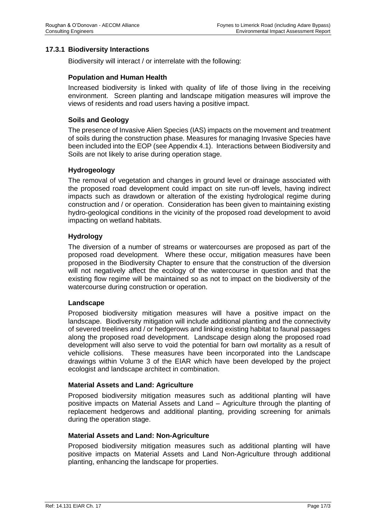# **17.3.1 Biodiversity Interactions**

Biodiversity will interact / or interrelate with the following:

#### **Population and Human Health**

Increased biodiversity is linked with quality of life of those living in the receiving environment. Screen planting and landscape mitigation measures will improve the views of residents and road users having a positive impact.

#### **Soils and Geology**

The presence of Invasive Alien Species (IAS) impacts on the movement and treatment of soils during the construction phase. Measures for managing Invasive Species have been included into the EOP (see Appendix 4.1). Interactions between Biodiversity and Soils are not likely to arise during operation stage.

#### **Hydrogeology**

The removal of vegetation and changes in ground level or drainage associated with the proposed road development could impact on site run-off levels, having indirect impacts such as drawdown or alteration of the existing hydrological regime during construction and / or operation. Consideration has been given to maintaining existing hydro-geological conditions in the vicinity of the proposed road development to avoid impacting on wetland habitats.

#### **Hydrology**

The diversion of a number of streams or watercourses are proposed as part of the proposed road development. Where these occur, mitigation measures have been proposed in the Biodiversity Chapter to ensure that the construction of the diversion will not negatively affect the ecology of the watercourse in question and that the existing flow regime will be maintained so as not to impact on the biodiversity of the watercourse during construction or operation.

#### **Landscape**

Proposed biodiversity mitigation measures will have a positive impact on the landscape. Biodiversity mitigation will include additional planting and the connectivity of severed treelines and / or hedgerows and linking existing habitat to faunal passages along the proposed road development. Landscape design along the proposed road development will also serve to void the potential for barn owl mortality as a result of vehicle collisions. These measures have been incorporated into the Landscape drawings within Volume 3 of the EIAR which have been developed by the project ecologist and landscape architect in combination.

#### **Material Assets and Land: Agriculture**

Proposed biodiversity mitigation measures such as additional planting will have positive impacts on Material Assets and Land – Agriculture through the planting of replacement hedgerows and additional planting, providing screening for animals during the operation stage.

#### **Material Assets and Land: Non-Agriculture**

Proposed biodiversity mitigation measures such as additional planting will have positive impacts on Material Assets and Land Non-Agriculture through additional planting, enhancing the landscape for properties.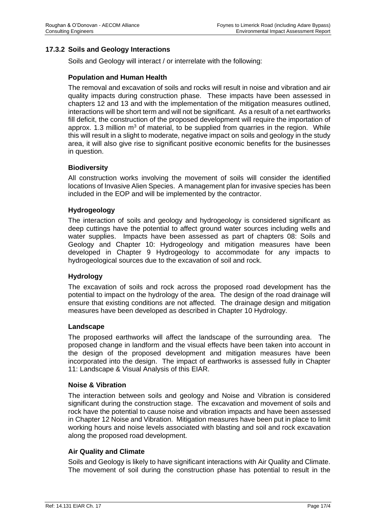# **17.3.2 Soils and Geology Interactions**

Soils and Geology will interact / or interrelate with the following:

#### **Population and Human Health**

The removal and excavation of soils and rocks will result in noise and vibration and air quality impacts during construction phase. These impacts have been assessed in chapters 12 and 13 and with the implementation of the mitigation measures outlined, interactions will be short term and will not be significant. As a result of a net earthworks fill deficit, the construction of the proposed development will require the importation of approx. 1.3 million  $m<sup>3</sup>$  of material, to be supplied from quarries in the region. While this will result in a slight to moderate, negative impact on soils and geology in the study area, it will also give rise to significant positive economic benefits for the businesses in question.

#### **Biodiversity**

All construction works involving the movement of soils will consider the identified locations of Invasive Alien Species. A management plan for invasive species has been included in the EOP and will be implemented by the contractor.

#### **Hydrogeology**

The interaction of soils and geology and hydrogeology is considered significant as deep cuttings have the potential to affect ground water sources including wells and water supplies. Impacts have been assessed as part of chapters 08: Soils and Geology and Chapter 10: Hydrogeology and mitigation measures have been developed in Chapter 9 Hydrogeology to accommodate for any impacts to hydrogeological sources due to the excavation of soil and rock.

#### **Hydrology**

The excavation of soils and rock across the proposed road development has the potential to impact on the hydrology of the area. The design of the road drainage will ensure that existing conditions are not affected. The drainage design and mitigation measures have been developed as described in Chapter 10 Hydrology.

#### **Landscape**

The proposed earthworks will affect the landscape of the surrounding area. The proposed change in landform and the visual effects have been taken into account in the design of the proposed development and mitigation measures have been incorporated into the design. The impact of earthworks is assessed fully in Chapter 11: Landscape & Visual Analysis of this EIAR.

#### **Noise & Vibration**

The interaction between soils and geology and Noise and Vibration is considered significant during the construction stage. The excavation and movement of soils and rock have the potential to cause noise and vibration impacts and have been assessed in Chapter 12 Noise and Vibration. Mitigation measures have been put in place to limit working hours and noise levels associated with blasting and soil and rock excavation along the proposed road development.

#### **Air Quality and Climate**

Soils and Geology is likely to have significant interactions with Air Quality and Climate. The movement of soil during the construction phase has potential to result in the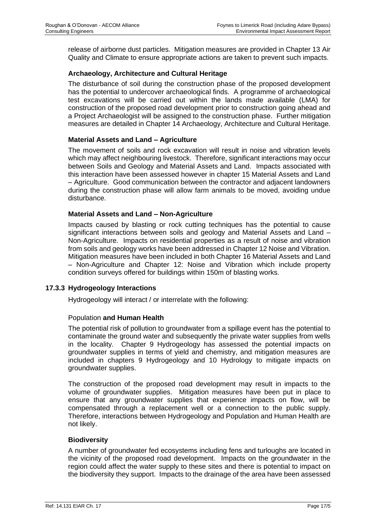release of airborne dust particles. Mitigation measures are provided in Chapter 13 Air Quality and Climate to ensure appropriate actions are taken to prevent such impacts.

# **Archaeology, Architecture and Cultural Heritage**

The disturbance of soil during the construction phase of the proposed development has the potential to undercover archaeological finds. A programme of archaeological test excavations will be carried out within the lands made available (LMA) for construction of the proposed road development prior to construction going ahead and a Project Archaeologist will be assigned to the construction phase. Further mitigation measures are detailed in Chapter 14 Archaeology, Architecture and Cultural Heritage.

# **Material Assets and Land – Agriculture**

The movement of soils and rock excavation will result in noise and vibration levels which may affect neighbouring livestock. Therefore, significant interactions may occur between Soils and Geology and Material Assets and Land. Impacts associated with this interaction have been assessed however in chapter 15 Material Assets and Land – Agriculture. Good communication between the contractor and adjacent landowners during the construction phase will allow farm animals to be moved, avoiding undue disturbance.

# **Material Assets and Land – Non-Agriculture**

Impacts caused by blasting or rock cutting techniques has the potential to cause significant interactions between soils and geology and Material Assets and Land – Non-Agriculture. Impacts on residential properties as a result of noise and vibration from soils and geology works have been addressed in Chapter 12 Noise and Vibration. Mitigation measures have been included in both Chapter 16 Material Assets and Land – Non-Agriculture and Chapter 12: Noise and Vibration which include property condition surveys offered for buildings within 150m of blasting works.

# **17.3.3 Hydrogeology Interactions**

Hydrogeology will interact / or interrelate with the following:

# Population **and Human Health**

The potential risk of pollution to groundwater from a spillage event has the potential to contaminate the ground water and subsequently the private water supplies from wells in the locality. Chapter 9 Hydrogeology has assessed the potential impacts on groundwater supplies in terms of yield and chemistry, and mitigation measures are included in chapters 9 Hydrogeology and 10 Hydrology to mitigate impacts on groundwater supplies.

The construction of the proposed road development may result in impacts to the volume of groundwater supplies. Mitigation measures have been put in place to ensure that any groundwater supplies that experience impacts on flow, will be compensated through a replacement well or a connection to the public supply. Therefore, interactions between Hydrogeology and Population and Human Health are not likely.

# **Biodiversity**

A number of groundwater fed ecosystems including fens and turloughs are located in the vicinity of the proposed road development. Impacts on the groundwater in the region could affect the water supply to these sites and there is potential to impact on the biodiversity they support. Impacts to the drainage of the area have been assessed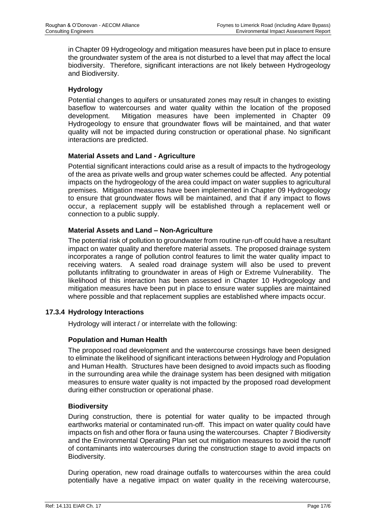in Chapter 09 Hydrogeology and mitigation measures have been put in place to ensure the groundwater system of the area is not disturbed to a level that may affect the local biodiversity. Therefore, significant interactions are not likely between Hydrogeology and Biodiversity.

# **Hydrology**

Potential changes to aquifers or unsaturated zones may result in changes to existing baseflow to watercourses and water quality within the location of the proposed development. Mitigation measures have been implemented in Chapter 09 Hydrogeology to ensure that groundwater flows will be maintained, and that water quality will not be impacted during construction or operational phase. No significant interactions are predicted.

# **Material Assets and Land - Agriculture**

Potential significant interactions could arise as a result of impacts to the hydrogeology of the area as private wells and group water schemes could be affected. Any potential impacts on the hydrogeology of the area could impact on water supplies to agricultural premises. Mitigation measures have been implemented in Chapter 09 Hydrogeology to ensure that groundwater flows will be maintained, and that if any impact to flows occur, a replacement supply will be established through a replacement well or connection to a public supply.

# **Material Assets and Land – Non-Agriculture**

The potential risk of pollution to groundwater from routine run-off could have a resultant impact on water quality and therefore material assets. The proposed drainage system incorporates a range of pollution control features to limit the water quality impact to receiving waters. A sealed road drainage system will also be used to prevent pollutants infiltrating to groundwater in areas of High or Extreme Vulnerability. The likelihood of this interaction has been assessed in Chapter 10 Hydrogeology and mitigation measures have been put in place to ensure water supplies are maintained where possible and that replacement supplies are established where impacts occur.

# **17.3.4 Hydrology Interactions**

Hydrology will interact / or interrelate with the following:

# **Population and Human Health**

The proposed road development and the watercourse crossings have been designed to eliminate the likelihood of significant interactions between Hydrology and Population and Human Health. Structures have been designed to avoid impacts such as flooding in the surrounding area while the drainage system has been designed with mitigation measures to ensure water quality is not impacted by the proposed road development during either construction or operational phase.

# **Biodiversity**

During construction, there is potential for water quality to be impacted through earthworks material or contaminated run-off. This impact on water quality could have impacts on fish and other flora or fauna using the watercourses. Chapter 7 Biodiversity and the Environmental Operating Plan set out mitigation measures to avoid the runoff of contaminants into watercourses during the construction stage to avoid impacts on Biodiversity.

During operation, new road drainage outfalls to watercourses within the area could potentially have a negative impact on water quality in the receiving watercourse,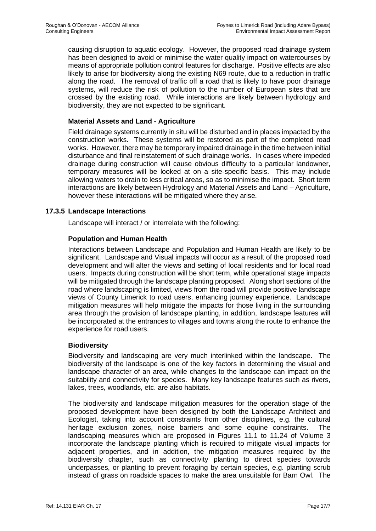causing disruption to aquatic ecology. However, the proposed road drainage system has been designed to avoid or minimise the water quality impact on watercourses by means of appropriate pollution control features for discharge. Positive effects are also likely to arise for biodiversity along the existing N69 route, due to a reduction in traffic along the road. The removal of traffic off a road that is likely to have poor drainage systems, will reduce the risk of pollution to the number of European sites that are crossed by the existing road. While interactions are likely between hydrology and biodiversity, they are not expected to be significant.

# **Material Assets and Land - Agriculture**

Field drainage systems currently in situ will be disturbed and in places impacted by the construction works. These systems will be restored as part of the completed road works. However, there may be temporary impaired drainage in the time between initial disturbance and final reinstatement of such drainage works. In cases where impeded drainage during construction will cause obvious difficulty to a particular landowner, temporary measures will be looked at on a site-specific basis. This may include allowing waters to drain to less critical areas, so as to minimise the impact. Short term interactions are likely between Hydrology and Material Assets and Land – Agriculture, however these interactions will be mitigated where they arise.

# **17.3.5 Landscape Interactions**

Landscape will interact / or interrelate with the following:

# **Population and Human Health**

Interactions between Landscape and Population and Human Health are likely to be significant. Landscape and Visual impacts will occur as a result of the proposed road development and will alter the views and setting of local residents and for local road users. Impacts during construction will be short term, while operational stage impacts will be mitigated through the landscape planting proposed. Along short sections of the road where landscaping is limited, views from the road will provide positive landscape views of County Limerick to road users, enhancing journey experience. Landscape mitigation measures will help mitigate the impacts for those living in the surrounding area through the provision of landscape planting, in addition, landscape features will be incorporated at the entrances to villages and towns along the route to enhance the experience for road users.

# **Biodiversity**

Biodiversity and landscaping are very much interlinked within the landscape. The biodiversity of the landscape is one of the key factors in determining the visual and landscape character of an area, while changes to the landscape can impact on the suitability and connectivity for species. Many key landscape features such as rivers, lakes, trees, woodlands, etc. are also habitats.

The biodiversity and landscape mitigation measures for the operation stage of the proposed development have been designed by both the Landscape Architect and Ecologist, taking into account constraints from other disciplines, e.g. the cultural heritage exclusion zones, noise barriers and some equine constraints. The landscaping measures which are proposed in Figures 11.1 to 11.24 of Volume 3 incorporate the landscape planting which is required to mitigate visual impacts for adjacent properties, and in addition, the mitigation measures required by the biodiversity chapter, such as connectivity planting to direct species towards underpasses, or planting to prevent foraging by certain species, e.g. planting scrub instead of grass on roadside spaces to make the area unsuitable for Barn Owl. The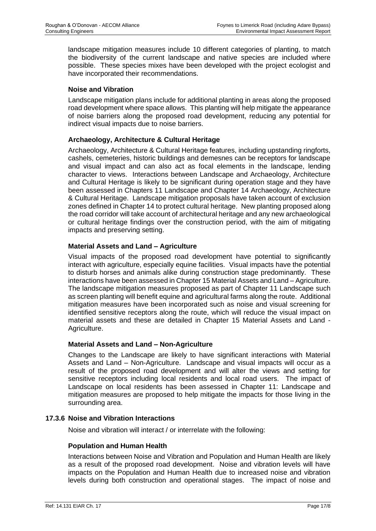landscape mitigation measures include 10 different categories of planting, to match the biodiversity of the current landscape and native species are included where possible. These species mixes have been developed with the project ecologist and have incorporated their recommendations.

# **Noise and Vibration**

Landscape mitigation plans include for additional planting in areas along the proposed road development where space allows. This planting will help mitigate the appearance of noise barriers along the proposed road development, reducing any potential for indirect visual impacts due to noise barriers.

# **Archaeology, Architecture & Cultural Heritage**

Archaeology, Architecture & Cultural Heritage features, including upstanding ringforts, cashels, cemeteries, historic buildings and demesnes can be receptors for landscape and visual impact and can also act as focal elements in the landscape, lending character to views. Interactions between Landscape and Archaeology, Architecture and Cultural Heritage is likely to be significant during operation stage and they have been assessed in Chapters 11 Landscape and Chapter 14 Archaeology, Architecture & Cultural Heritage. Landscape mitigation proposals have taken account of exclusion zones defined in Chapter 14 to protect cultural heritage. New planting proposed along the road corridor will take account of architectural heritage and any new archaeological or cultural heritage findings over the construction period, with the aim of mitigating impacts and preserving setting.

# **Material Assets and Land – Agriculture**

Visual impacts of the proposed road development have potential to significantly interact with agriculture, especially equine facilities. Visual impacts have the potential to disturb horses and animals alike during construction stage predominantly. These interactions have been assessed in Chapter 15 Material Assets and Land – Agriculture. The landscape mitigation measures proposed as part of Chapter 11 Landscape such as screen planting will benefit equine and agricultural farms along the route. Additional mitigation measures have been incorporated such as noise and visual screening for identified sensitive receptors along the route, which will reduce the visual impact on material assets and these are detailed in Chapter 15 Material Assets and Land - Agriculture.

# **Material Assets and Land – Non-Agriculture**

Changes to the Landscape are likely to have significant interactions with Material Assets and Land – Non-Agriculture. Landscape and visual impacts will occur as a result of the proposed road development and will alter the views and setting for sensitive receptors including local residents and local road users. The impact of Landscape on local residents has been assessed in Chapter 11: Landscape and mitigation measures are proposed to help mitigate the impacts for those living in the surrounding area.

# **17.3.6 Noise and Vibration Interactions**

Noise and vibration will interact / or interrelate with the following:

# **Population and Human Health**

Interactions between Noise and Vibration and Population and Human Health are likely as a result of the proposed road development. Noise and vibration levels will have impacts on the Population and Human Health due to increased noise and vibration levels during both construction and operational stages. The impact of noise and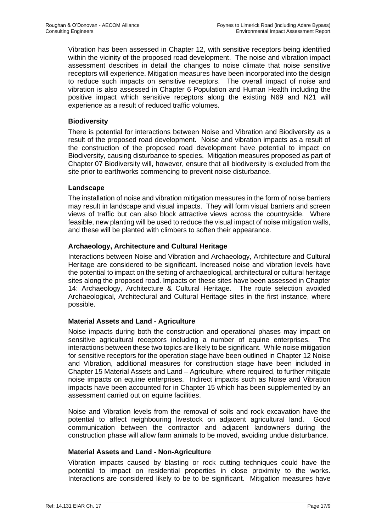Vibration has been assessed in Chapter 12, with sensitive receptors being identified within the vicinity of the proposed road development. The noise and vibration impact assessment describes in detail the changes to noise climate that noise sensitive receptors will experience. Mitigation measures have been incorporated into the design to reduce such impacts on sensitive receptors. The overall impact of noise and vibration is also assessed in Chapter 6 Population and Human Health including the positive impact which sensitive receptors along the existing N69 and N21 will experience as a result of reduced traffic volumes.

# **Biodiversity**

There is potential for interactions between Noise and Vibration and Biodiversity as a result of the proposed road development. Noise and vibration impacts as a result of the construction of the proposed road development have potential to impact on Biodiversity, causing disturbance to species. Mitigation measures proposed as part of Chapter 07 Biodiversity will, however, ensure that all biodiversity is excluded from the site prior to earthworks commencing to prevent noise disturbance.

# **Landscape**

The installation of noise and vibration mitigation measures in the form of noise barriers may result in landscape and visual impacts. They will form visual barriers and screen views of traffic but can also block attractive views across the countryside. Where feasible, new planting will be used to reduce the visual impact of noise mitigation walls, and these will be planted with climbers to soften their appearance.

# **Archaeology, Architecture and Cultural Heritage**

Interactions between Noise and Vibration and Archaeology, Architecture and Cultural Heritage are considered to be significant. Increased noise and vibration levels have the potential to impact on the setting of archaeological, architectural or cultural heritage sites along the proposed road. Impacts on these sites have been assessed in Chapter 14: Archaeology, Architecture & Cultural Heritage. The route selection avoided Archaeological, Architectural and Cultural Heritage sites in the first instance, where possible.

# **Material Assets and Land - Agriculture**

Noise impacts during both the construction and operational phases may impact on sensitive agricultural receptors including a number of equine enterprises. The interactions between these two topics are likely to be significant. While noise mitigation for sensitive receptors for the operation stage have been outlined in Chapter 12 Noise and Vibration, additional measures for construction stage have been included in Chapter 15 Material Assets and Land – Agriculture, where required, to further mitigate noise impacts on equine enterprises. Indirect impacts such as Noise and Vibration impacts have been accounted for in Chapter 15 which has been supplemented by an assessment carried out on equine facilities.

Noise and Vibration levels from the removal of soils and rock excavation have the potential to affect neighbouring livestock on adjacent agricultural land. Good communication between the contractor and adjacent landowners during the construction phase will allow farm animals to be moved, avoiding undue disturbance.

# **Material Assets and Land - Non-Agriculture**

Vibration impacts caused by blasting or rock cutting techniques could have the potential to impact on residential properties in close proximity to the works. Interactions are considered likely to be to be significant. Mitigation measures have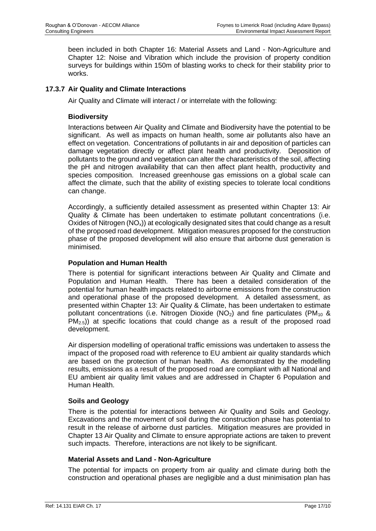been included in both Chapter 16: Material Assets and Land - Non-Agriculture and Chapter 12: Noise and Vibration which include the provision of property condition surveys for buildings within 150m of blasting works to check for their stability prior to works.

# **17.3.7 Air Quality and Climate Interactions**

Air Quality and Climate will interact / or interrelate with the following:

# **Biodiversity**

Interactions between Air Quality and Climate and Biodiversity have the potential to be significant. As well as impacts on human health, some air pollutants also have an effect on vegetation. Concentrations of pollutants in air and deposition of particles can damage vegetation directly or affect plant health and productivity. Deposition of pollutants to the ground and vegetation can alter the characteristics of the soil, affecting the pH and nitrogen availability that can then affect plant health, productivity and species composition. Increased greenhouse gas emissions on a global scale can affect the climate, such that the ability of existing species to tolerate local conditions can change.

Accordingly, a sufficiently detailed assessment as presented within Chapter 13: Air Quality & Climate has been undertaken to estimate pollutant concentrations (i.e. Oxides of Nitrogen  $(NO_x)$ ) at ecologically designated sites that could change as a result of the proposed road development. Mitigation measures proposed for the construction phase of the proposed development will also ensure that airborne dust generation is minimised.

# **Population and Human Health**

There is potential for significant interactions between Air Quality and Climate and Population and Human Health. There has been a detailed consideration of the potential for human health impacts related to airborne emissions from the construction and operational phase of the proposed development. A detailed assessment, as presented within Chapter 13: Air Quality & Climate, has been undertaken to estimate pollutant concentrations (i.e. Nitrogen Dioxide (NO<sub>2</sub>) and fine particulates (PM<sub>10</sub> &  $PM_{2.5}$ ) at specific locations that could change as a result of the proposed road development.

Air dispersion modelling of operational traffic emissions was undertaken to assess the impact of the proposed road with reference to EU ambient air quality standards which are based on the protection of human health. As demonstrated by the modelling results, emissions as a result of the proposed road are compliant with all National and EU ambient air quality limit values and are addressed in Chapter 6 Population and Human Health.

# **Soils and Geology**

There is the potential for interactions between Air Quality and Soils and Geology. Excavations and the movement of soil during the construction phase has potential to result in the release of airborne dust particles. Mitigation measures are provided in Chapter 13 Air Quality and Climate to ensure appropriate actions are taken to prevent such impacts. Therefore, interactions are not likely to be significant.

# **Material Assets and Land - Non-Agriculture**

The potential for impacts on property from air quality and climate during both the construction and operational phases are negligible and a dust minimisation plan has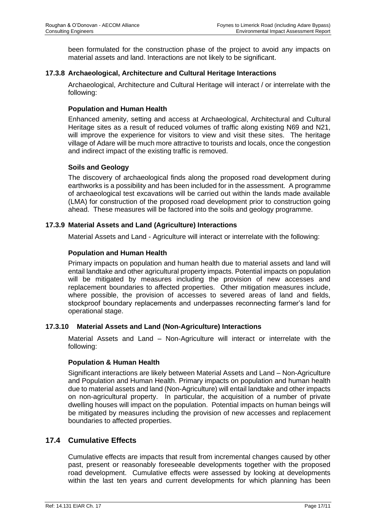been formulated for the construction phase of the project to avoid any impacts on material assets and land. Interactions are not likely to be significant.

# **17.3.8 Archaeological, Architecture and Cultural Heritage Interactions**

Archaeological, Architecture and Cultural Heritage will interact / or interrelate with the following:

# **Population and Human Health**

Enhanced amenity, setting and access at Archaeological, Architectural and Cultural Heritage sites as a result of reduced volumes of traffic along existing N69 and N21, will improve the experience for visitors to view and visit these sites. The heritage village of Adare will be much more attractive to tourists and locals, once the congestion and indirect impact of the existing traffic is removed.

# **Soils and Geology**

The discovery of archaeological finds along the proposed road development during earthworks is a possibility and has been included for in the assessment. A programme of archaeological test excavations will be carried out within the lands made available (LMA) for construction of the proposed road development prior to construction going ahead. These measures will be factored into the soils and geology programme.

# **17.3.9 Material Assets and Land (Agriculture) Interactions**

Material Assets and Land - Agriculture will interact or interrelate with the following:

# **Population and Human Health**

Primary impacts on population and human health due to material assets and land will entail landtake and other agricultural property impacts. Potential impacts on population will be mitigated by measures including the provision of new accesses and replacement boundaries to affected properties. Other mitigation measures include, where possible, the provision of accesses to severed areas of land and fields. stockproof boundary replacements and underpasses reconnecting farmer's land for operational stage.

# **17.3.10 Material Assets and Land (Non-Agriculture) Interactions**

Material Assets and Land – Non-Agriculture will interact or interrelate with the following:

#### **Population & Human Health**

Significant interactions are likely between Material Assets and Land – Non-Agriculture and Population and Human Health. Primary impacts on population and human health due to material assets and land (Non-Agriculture) will entail landtake and other impacts on non-agricultural property. In particular, the acquisition of a number of private dwelling houses will impact on the population. Potential impacts on human beings will be mitigated by measures including the provision of new accesses and replacement boundaries to affected properties.

# **17.4 Cumulative Effects**

Cumulative effects are impacts that result from incremental changes caused by other past, present or reasonably foreseeable developments together with the proposed road development. Cumulative effects were assessed by looking at developments within the last ten years and current developments for which planning has been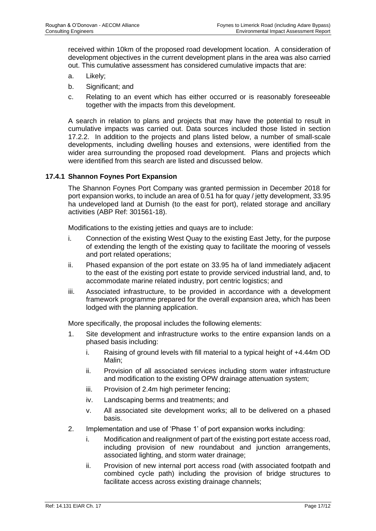received within 10km of the proposed road development location. A consideration of development objectives in the current development plans in the area was also carried out. This cumulative assessment has considered cumulative impacts that are:

- a. Likely;
- b. Significant; and
- c. Relating to an event which has either occurred or is reasonably foreseeable together with the impacts from this development.

A search in relation to plans and projects that may have the potential to result in cumulative impacts was carried out. Data sources included those listed in section 17.2.2. In addition to the projects and plans listed below, a number of small-scale developments, including dwelling houses and extensions, were identified from the wider area surrounding the proposed road development. Plans and projects which were identified from this search are listed and discussed below.

# **17.4.1 Shannon Foynes Port Expansion**

The Shannon Foynes Port Company was granted permission in December 2018 for port expansion works, to include an area of 0.51 ha for quay / jetty development, 33.95 ha undeveloped land at Durnish (to the east for port), related storage and ancillary activities (ABP Ref: 301561-18).

Modifications to the existing jetties and quays are to include:

- i. Connection of the existing West Quay to the existing East Jetty, for the purpose of extending the length of the existing quay to facilitate the mooring of vessels and port related operations;
- ii. Phased expansion of the port estate on 33.95 ha of land immediately adjacent to the east of the existing port estate to provide serviced industrial land, and, to accommodate marine related industry, port centric logistics; and
- iii. Associated infrastructure, to be provided in accordance with a development framework programme prepared for the overall expansion area, which has been lodged with the planning application.

More specifically, the proposal includes the following elements:

- 1. Site development and infrastructure works to the entire expansion lands on a phased basis including:
	- i. Raising of ground levels with fill material to a typical height of +4.44m OD Malin;
	- ii. Provision of all associated services including storm water infrastructure and modification to the existing OPW drainage attenuation system;
	- iii. Provision of 2.4m high perimeter fencing;
	- iv. Landscaping berms and treatments; and
	- v. All associated site development works; all to be delivered on a phased basis.
- 2. Implementation and use of 'Phase 1' of port expansion works including:
	- i. Modification and realignment of part of the existing port estate access road, including provision of new roundabout and junction arrangements, associated lighting, and storm water drainage;
	- ii. Provision of new internal port access road (with associated footpath and combined cycle path) including the provision of bridge structures to facilitate access across existing drainage channels;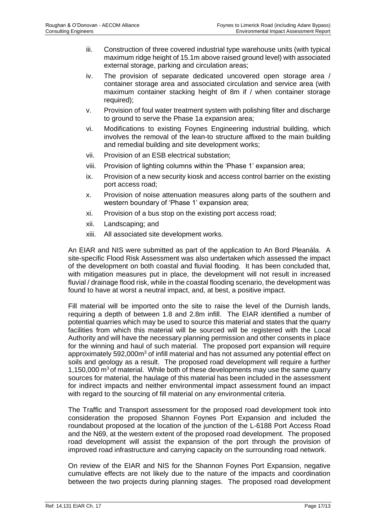- iii. Construction of three covered industrial type warehouse units (with typical maximum ridge height of 15.1m above raised ground level) with associated external storage, parking and circulation areas;
- iv. The provision of separate dedicated uncovered open storage area / container storage area and associated circulation and service area (with maximum container stacking height of 8m if / when container storage required);
- v. Provision of foul water treatment system with polishing filter and discharge to ground to serve the Phase 1a expansion area;
- vi. Modifications to existing Foynes Engineering industrial building, which involves the removal of the lean-to structure affixed to the main building and remedial building and site development works;
- vii. Provision of an ESB electrical substation;
- viii. Provision of lighting columns within the 'Phase 1' expansion area;
- ix. Provision of a new security kiosk and access control barrier on the existing port access road;
- x. Provision of noise attenuation measures along parts of the southern and western boundary of 'Phase 1' expansion area;
- xi. Provision of a bus stop on the existing port access road;
- xii. Landscaping; and
- xiii. All associated site development works.

An EIAR and NIS were submitted as part of the application to An Bord Pleanála. A site-specific Flood Risk Assessment was also undertaken which assessed the impact of the development on both coastal and fluvial flooding. It has been concluded that, with mitigation measures put in place, the development will not result in increased fluvial / drainage flood risk, while in the coastal flooding scenario, the development was found to have at worst a neutral impact, and, at best, a positive impact.

Fill material will be imported onto the site to raise the level of the Durnish lands, requiring a depth of between 1.8 and 2.8m infill. The EIAR identified a number of potential quarries which may be used to source this material and states that the quarry facilities from which this material will be sourced will be registered with the Local Authority and will have the necessary planning permission and other consents in place for the winning and haul of such material. The proposed port expansion will require approximately 592,000m<sup>3</sup> of infill material and has not assumed any potential effect on soils and geology as a result. The proposed road development will require a further 1,150,000  $\text{m}^3$  of material. While both of these developments may use the same quarry sources for material, the haulage of this material has been included in the assessment for indirect impacts and neither environmental impact assessment found an impact with regard to the sourcing of fill material on any environmental criteria.

The Traffic and Transport assessment for the proposed road development took into consideration the proposed Shannon Foynes Port Expansion and included the roundabout proposed at the location of the junction of the L-6188 Port Access Road and the N69, at the western extent of the proposed road development. The proposed road development will assist the expansion of the port through the provision of improved road infrastructure and carrying capacity on the surrounding road network.

On review of the EIAR and NIS for the Shannon Foynes Port Expansion, negative cumulative effects are not likely due to the nature of the impacts and coordination between the two projects during planning stages. The proposed road development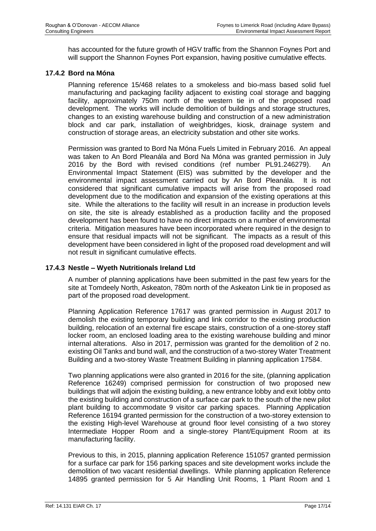has accounted for the future growth of HGV traffic from the Shannon Foynes Port and will support the Shannon Foynes Port expansion, having positive cumulative effects.

# **17.4.2 Bord na Móna**

Planning reference 15/468 relates to a smokeless and bio-mass based solid fuel manufacturing and packaging facility adjacent to existing coal storage and bagging facility, approximately 750m north of the western tie in of the proposed road development. The works will include demolition of buildings and storage structures, changes to an existing warehouse building and construction of a new administration block and car park, installation of weighbridges, kiosk, drainage system and construction of storage areas, an electricity substation and other site works.

Permission was granted to Bord Na Móna Fuels Limited in February 2016. An appeal was taken to An Bord Pleanála and Bord Na Móna was granted permission in July 2016 by the Bord with revised conditions (ref number PL91.246279). Environmental Impact Statement (EIS) was submitted by the developer and the environmental impact assessment carried out by An Bord Pleanála. It is not considered that significant cumulative impacts will arise from the proposed road development due to the modification and expansion of the existing operations at this site. While the alterations to the facility will result in an increase in production levels on site, the site is already established as a production facility and the proposed development has been found to have no direct impacts on a number of environmental criteria. Mitigation measures have been incorporated where required in the design to ensure that residual impacts will not be significant. The impacts as a result of this development have been considered in light of the proposed road development and will not result in significant cumulative effects.

# **17.4.3 Nestle – Wyeth Nutritionals Ireland Ltd**

A number of planning applications have been submitted in the past few years for the site at Tomdeely North, Askeaton, 780m north of the Askeaton Link tie in proposed as part of the proposed road development.

Planning Application Reference 17617 was granted permission in August 2017 to demolish the existing temporary building and link corridor to the existing production building, relocation of an external fire escape stairs, construction of a one-storey staff locker room, an enclosed loading area to the existing warehouse building and minor internal alterations. Also in 2017, permission was granted for the demolition of 2 no. existing Oil Tanks and bund wall, and the construction of a two-storey Water Treatment Building and a two-storey Waste Treatment Building in planning application 17584.

Two planning applications were also granted in 2016 for the site, (planning application Reference 16249) comprised permission for construction of two proposed new buildings that will adjoin the existing building, a new entrance lobby and exit lobby onto the existing building and construction of a surface car park to the south of the new pilot plant building to accommodate 9 visitor car parking spaces. Planning Application Reference 16194 granted permission for the construction of a two-storey extension to the existing High-level Warehouse at ground floor level consisting of a two storey Intermediate Hopper Room and a single-storey Plant/Equipment Room at its manufacturing facility.

Previous to this, in 2015, planning application Reference 151057 granted permission for a surface car park for 156 parking spaces and site development works include the demolition of two vacant residential dwellings. While planning application Reference 14895 granted permission for 5 Air Handling Unit Rooms, 1 Plant Room and 1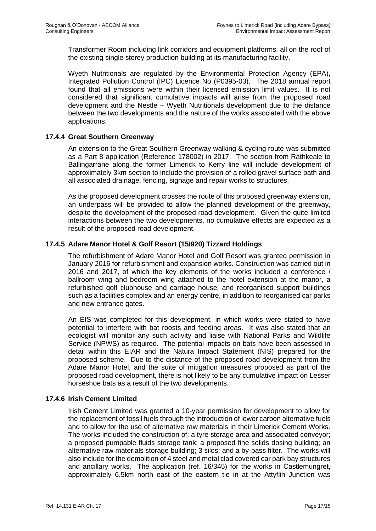Transformer Room including link corridors and equipment platforms, all on the roof of the existing single storey production building at its manufacturing facility.

Wyeth Nutritionals are regulated by the Environmental Protection Agency (EPA), Integrated Pollution Control (IPC) Licence No (P0395-03). The 2018 annual report found that all emissions were within their licensed emission limit values. It is not considered that significant cumulative impacts will arise from the proposed road development and the Nestle – Wyeth Nutritionals development due to the distance between the two developments and the nature of the works associated with the above applications.

# **17.4.4 Great Southern Greenway**

An extension to the Great Southern Greenway walking & cycling route was submitted as a Part 8 application (Reference 178002) in 2017. The section from Rathkeale to Ballingarrane along the former Limerick to Kerry line will include development of approximately 3km section to include the provision of a rolled gravel surface path and all associated drainage, fencing, signage and repair works to structures.

As the proposed development crosses the route of this proposed greenway extension, an underpass will be provided to allow the planned development of the greenway, despite the development of the proposed road development. Given the quite limited interactions between the two developments, no cumulative effects are expected as a result of the proposed road development.

# **17.4.5 Adare Manor Hotel & Golf Resort (15/920) Tizzard Holdings**

The refurbishment of Adare Manor Hotel and Golf Resort was granted permission in January 2016 for refurbishment and expansion works. Construction was carried out in 2016 and 2017, of which the key elements of the works included a conference / ballroom wing and bedroom wing attached to the hotel extension at the manor, a refurbished golf clubhouse and carriage house, and reorganised support buildings such as a facilities complex and an energy centre, in addition to reorganised car parks and new entrance gates.

An EIS was completed for this development, in which works were stated to have potential to interfere with bat roosts and feeding areas. It was also stated that an ecologist will monitor any such activity and liaise with National Parks and Wildlife Service (NPWS) as required. The potential impacts on bats have been assessed in detail within this EIAR and the Natura Impact Statement (NIS) prepared for the proposed scheme. Due to the distance of the proposed road development from the Adare Manor Hotel, and the suite of mitigation measures proposed as part of the proposed road development, there is not likely to be any cumulative impact on Lesser horseshoe bats as a result of the two developments.

# **17.4.6 Irish Cement Limited**

Irish Cement Limited was granted a 10-year permission for development to allow for the replacement of fossil fuels through the introduction of lower carbon alternative fuels and to allow for the use of alternative raw materials in their Limerick Cement Works. The works included the construction of: a tyre storage area and associated conveyor; a proposed pumpable fluids storage tank; a proposed fine solids dosing building; an alternative raw materials storage building; 3 silos; and a by-pass filter. The works will also include for the demolition of 4 steel and metal clad covered car park bay structures and ancillary works. The application (ref. 16/345) for the works in Castlemungret, approximately 6.5km north east of the eastern tie in at the Attyflin Junction was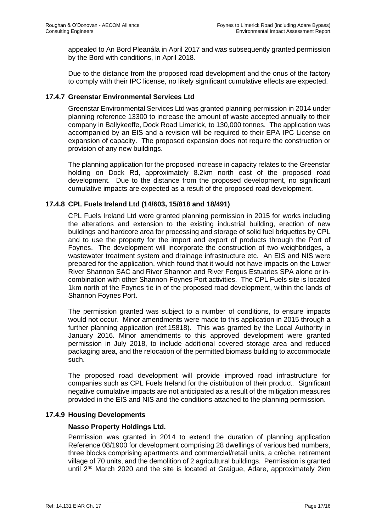appealed to An Bord Pleanála in April 2017 and was subsequently granted permission by the Bord with conditions, in April 2018.

Due to the distance from the proposed road development and the onus of the factory to comply with their IPC license, no likely significant cumulative effects are expected.

# **17.4.7 Greenstar Environmental Services Ltd**

Greenstar Environmental Services Ltd was granted planning permission in 2014 under planning reference 13300 to increase the amount of waste accepted annually to their company in Ballykeeffe, Dock Road Limerick, to 130,000 tonnes. The application was accompanied by an EIS and a revision will be required to their EPA IPC License on expansion of capacity. The proposed expansion does not require the construction or provision of any new buildings.

The planning application for the proposed increase in capacity relates to the Greenstar holding on Dock Rd, approximately 8.2km north east of the proposed road development. Due to the distance from the proposed development, no significant cumulative impacts are expected as a result of the proposed road development.

# **17.4.8 CPL Fuels Ireland Ltd (14/603, 15/818 and 18/491)**

CPL Fuels Ireland Ltd were granted planning permission in 2015 for works including the alterations and extension to the existing industrial building, erection of new buildings and hardcore area for processing and storage of solid fuel briquettes by CPL and to use the property for the import and export of products through the Port of Foynes. The development will incorporate the construction of two weighbridges, a wastewater treatment system and drainage infrastructure etc. An EIS and NIS were prepared for the application, which found that it would not have impacts on the Lower River Shannon SAC and River Shannon and River Fergus Estuaries SPA alone or incombination with other Shannon-Foynes Port activities. The CPL Fuels site is located 1km north of the Foynes tie in of the proposed road development, within the lands of Shannon Foynes Port.

The permission granted was subject to a number of conditions, to ensure impacts would not occur. Minor amendments were made to this application in 2015 through a further planning application (ref:15818). This was granted by the Local Authority in January 2016. Minor amendments to this approved development were granted permission in July 2018, to include additional covered storage area and reduced packaging area, and the relocation of the permitted biomass building to accommodate such.

The proposed road development will provide improved road infrastructure for companies such as CPL Fuels Ireland for the distribution of their product. Significant negative cumulative impacts are not anticipated as a result of the mitigation measures provided in the EIS and NIS and the conditions attached to the planning permission.

# **17.4.9 Housing Developments**

#### **Nasso Property Holdings Ltd.**

Permission was granted in 2014 to extend the duration of planning application Reference 08/1900 for development comprising 28 dwellings of various bed numbers, three blocks comprising apartments and commercial/retail units, a crèche, retirement village of 70 units, and the demolition of 2 agricultural buildings. Permission is granted until 2<sup>nd</sup> March 2020 and the site is located at Graigue, Adare, approximately 2km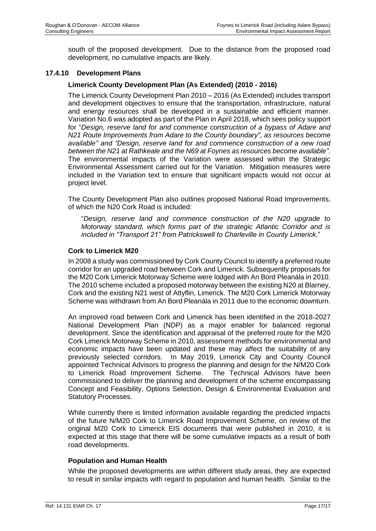south of the proposed development. Due to the distance from the proposed road development, no cumulative impacts are likely.

# **17.4.10 Development Plans**

# **Limerick County Development Plan (As Extended) (2010 - 2016)**

The Limerick County Development Plan 2010 – 2016 (As Extended) includes transport and development objectives to ensure that the transportation, infrastructure, natural and energy resources shall be developed in a sustainable and efficient manner. Variation No.6 was adopted as part of the Plan in April 2018, which sees policy support for "*Design, reserve land for and commence construction of a bypass of Adare and N21 Route Improvements from Adare to the County boundary", as resources become available" and "Design, reserve land for and commence construction of a new road between the N21 at Rathkeale and the N69 at Foynes as resources become available"*. The environmental impacts of the Variation were assessed within the Strategic Environmental Assessment carried out for the Variation. Mitigation measures were included in the Variation text to ensure that significant impacts would not occur at project level.

The County Development Plan also outlines proposed National Road Improvements, of which the N20 Cork Road is included:

"*Design, reserve land and commence construction of the N20 upgrade to Motorway standard, which forms part of the strategic Atlantic Corridor and is included in "Transport 21" from Patrickswell to Charleville in County Limerick*."

#### **Cork to Limerick M20**

In 2008 a study was commissioned by Cork County Council to identify a preferred route corridor for an upgraded road between Cork and Limerick. Subsequently proposals for the M20 Cork Limerick Motorway Scheme were lodged with An Bord Pleanála in 2010. The 2010 scheme included a proposed motorway between the existing N20 at Blarney, Cork and the existing N21 west of Attyflin, Limerick. The M20 Cork Limerick Motorway Scheme was withdrawn from An Bord Pleanála in 2011 due to the economic downturn.

An improved road between Cork and Limerick has been identified in the 2018-2027 National Development Plan (NDP) as a major enabler for balanced regional development. Since the identification and appraisal of the preferred route for the M20 Cork Limerick Motorway Scheme in 2010, assessment methods for environmental and economic impacts have been updated and these may affect the suitability of any previously selected corridors. In May 2019, Limerick City and County Council appointed Technical Advisors to progress the planning and design for the N/M20 Cork to Limerick Road Improvement Scheme. The Technical Advisors have been commissioned to deliver the planning and development of the scheme encompassing Concept and Feasibility, Options Selection, Design & Environmental Evaluation and Statutory Processes.

While currently there is limited information available regarding the predicted impacts of the future N/M20 Cork to Limerick Road Improvement Scheme, on review of the original M20 Cork to Limerick EIS documents that were published in 2010, it is expected at this stage that there will be some cumulative impacts as a result of both road developments.

# **Population and Human Health**

While the proposed developments are within different study areas, they are expected to result in similar impacts with regard to population and human health. Similar to the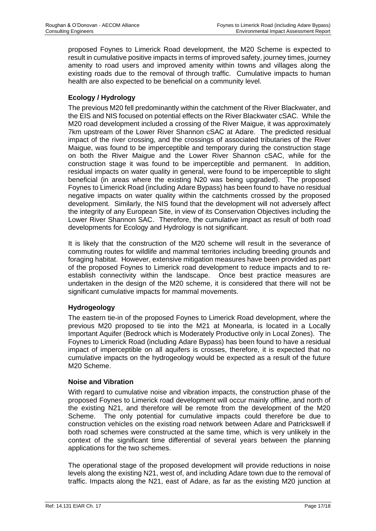proposed Foynes to Limerick Road development, the M20 Scheme is expected to result in cumulative positive impacts in terms of improved safety, journey times, journey amenity to road users and improved amenity within towns and villages along the existing roads due to the removal of through traffic. Cumulative impacts to human health are also expected to be beneficial on a community level.

# **Ecology / Hydrology**

The previous M20 fell predominantly within the catchment of the River Blackwater, and the EIS and NIS focused on potential effects on the River Blackwater cSAC. While the M20 road development included a crossing of the River Maigue, it was approximately 7km upstream of the Lower River Shannon cSAC at Adare. The predicted residual impact of the river crossing, and the crossings of associated tributaries of the River Maigue, was found to be imperceptible and temporary during the construction stage on both the River Maigue and the Lower River Shannon cSAC, while for the construction stage it was found to be imperceptible and permanent. In addition, residual impacts on water quality in general, were found to be imperceptible to slight beneficial (in areas where the existing N20 was being upgraded). The proposed Foynes to Limerick Road (including Adare Bypass) has been found to have no residual negative impacts on water quality within the catchments crossed by the proposed development. Similarly, the NIS found that the development will not adversely affect the integrity of any European Site, in view of its Conservation Objectives including the Lower River Shannon SAC. Therefore, the cumulative impact as result of both road developments for Ecology and Hydrology is not significant.

It is likely that the construction of the M20 scheme will result in the severance of commuting routes for wildlife and mammal territories including breeding grounds and foraging habitat. However, extensive mitigation measures have been provided as part of the proposed Foynes to Limerick road development to reduce impacts and to reestablish connectivity within the landscape. Once best practice measures are undertaken in the design of the M20 scheme, it is considered that there will not be significant cumulative impacts for mammal movements.

# **Hydrogeology**

The eastern tie-in of the proposed Foynes to Limerick Road development, where the previous M20 proposed to tie into the M21 at Monearla, is located in a Locally Important Aquifer (Bedrock which is Moderately Productive only in Local Zones). The Foynes to Limerick Road (including Adare Bypass) has been found to have a residual impact of imperceptible on all aquifers is crosses, therefore, it is expected that no cumulative impacts on the hydrogeology would be expected as a result of the future M20 Scheme.

# **Noise and Vibration**

With regard to cumulative noise and vibration impacts, the construction phase of the proposed Foynes to Limerick road development will occur mainly offline, and north of the existing N21, and therefore will be remote from the development of the M20 Scheme. The only potential for cumulative impacts could therefore be due to construction vehicles on the existing road network between Adare and Patrickswell if both road schemes were constructed at the same time, which is very unlikely in the context of the significant time differential of several years between the planning applications for the two schemes.

The operational stage of the proposed development will provide reductions in noise levels along the existing N21, west of, and including Adare town due to the removal of traffic. Impacts along the N21, east of Adare, as far as the existing M20 junction at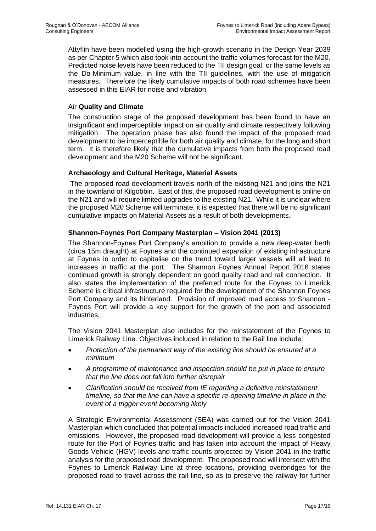Attyflin have been modelled using the high-growth scenario in the Design Year 2039 as per Chapter 5 which also took into account the traffic volumes forecast for the M20. Predicted noise levels have been reduced to the TII design goal, or the same levels as the Do-Minimum value, in line with the TII guidelines, with the use of mitigation measures. Therefore the likely cumulative impacts of both road schemes have been assessed in this EIAR for noise and vibration.

# Air **Quality and Climate**

The construction stage of the proposed development has been found to have an insignificant and imperceptible impact on air quality and climate respectively following mitigation. The operation phase has also found the impact of the proposed road development to be imperceptible for both air quality and climate, for the long and short term. It is therefore likely that the cumulative impacts from both the proposed road development and the M20 Scheme will not be significant.

# **Archaeology and Cultural Heritage, Material Assets**

The proposed road development travels north of the existing N21 and joins the N21 in the townland of Kilgobbin. East of this, the proposed road development is online on the N21 and will require limited upgrades to the existing N21. While it is unclear where the proposed M20 Scheme will terminate, it is expected that there will be no significant cumulative impacts on Material Assets as a result of both developments.

# **Shannon-Foynes Port Company Masterplan – Vision 2041 (2013)**

The Shannon-Foynes Port Company's ambition to provide a new deep-water berth (circa 15m draught) at Foynes and the continued expansion of existing infrastructure at Foynes in order to capitalise on the trend toward larger vessels will all lead to increases in traffic at the port. The Shannon Foynes Annual Report 2016 states continued growth is strongly dependent on good quality road and rail connection. It also states the implementation of the preferred route for the Foynes to Limerick Scheme is critical infrastructure required for the development of the Shannon Foynes Port Company and its hinterland. Provision of improved road access to Shannon - Foynes Port will provide a key support for the growth of the port and associated industries.

The Vision 2041 Masterplan also includes for the reinstatement of the Foynes to Limerick Railway Line. Objectives included in relation to the Rail line include:

- *Protection of the permanent way of the existing line should be ensured at a minimum*
- *A programme of maintenance and inspection should be put in place to ensure that the line does not fall into further disrepair*
- *Clarification should be received from IE regarding a definitive reinstatement timeline, so that the line can have a specific re-opening timeline in place in the event of a trigger event becoming likely*

A Strategic Environmental Assessment (SEA) was carried out for the Vision 2041 Masterplan which concluded that potential impacts included increased road traffic and emissions. However, the proposed road development will provide a less congested route for the Port of Foynes traffic and has taken into account the impact of Heavy Goods Vehicle (HGV) levels and traffic counts projected by Vision 2041 in the traffic analysis for the proposed road development. The proposed road will intersect with the Foynes to Limerick Railway Line at three locations, providing overbridges for the proposed road to travel across the rail line, so as to preserve the railway for further